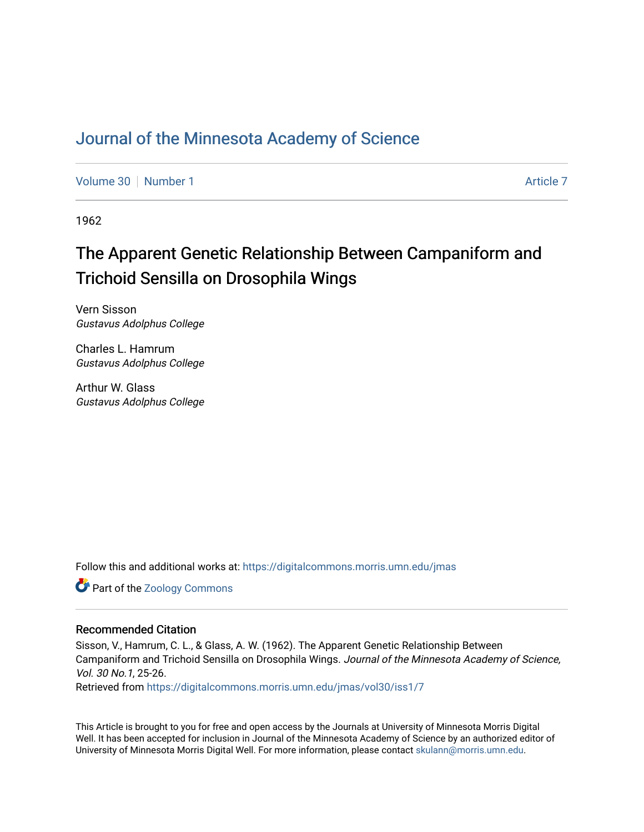## [Journal of the Minnesota Academy of Science](https://digitalcommons.morris.umn.edu/jmas)

[Volume 30](https://digitalcommons.morris.umn.edu/jmas/vol30) [Number 1](https://digitalcommons.morris.umn.edu/jmas/vol30/iss1) [Article 7](https://digitalcommons.morris.umn.edu/jmas/vol30/iss1/7) Article 7 Article 7 Article 7 Article 7 Article 7 Article 7

1962

# The Apparent Genetic Relationship Between Campaniform and Trichoid Sensilla on Drosophila Wings

Vern Sisson Gustavus Adolphus College

Charles L. Hamrum Gustavus Adolphus College

Arthur W. Glass Gustavus Adolphus College

Follow this and additional works at: [https://digitalcommons.morris.umn.edu/jmas](https://digitalcommons.morris.umn.edu/jmas?utm_source=digitalcommons.morris.umn.edu%2Fjmas%2Fvol30%2Fiss1%2F7&utm_medium=PDF&utm_campaign=PDFCoverPages) 

Part of the [Zoology Commons](https://network.bepress.com/hgg/discipline/81?utm_source=digitalcommons.morris.umn.edu%2Fjmas%2Fvol30%2Fiss1%2F7&utm_medium=PDF&utm_campaign=PDFCoverPages) 

### Recommended Citation

Sisson, V., Hamrum, C. L., & Glass, A. W. (1962). The Apparent Genetic Relationship Between Campaniform and Trichoid Sensilla on Drosophila Wings. Journal of the Minnesota Academy of Science, Vol. 30 No.1, 25-26.

Retrieved from [https://digitalcommons.morris.umn.edu/jmas/vol30/iss1/7](https://digitalcommons.morris.umn.edu/jmas/vol30/iss1/7?utm_source=digitalcommons.morris.umn.edu%2Fjmas%2Fvol30%2Fiss1%2F7&utm_medium=PDF&utm_campaign=PDFCoverPages)

This Article is brought to you for free and open access by the Journals at University of Minnesota Morris Digital Well. It has been accepted for inclusion in Journal of the Minnesota Academy of Science by an authorized editor of University of Minnesota Morris Digital Well. For more information, please contact [skulann@morris.umn.edu](mailto:skulann@morris.umn.edu).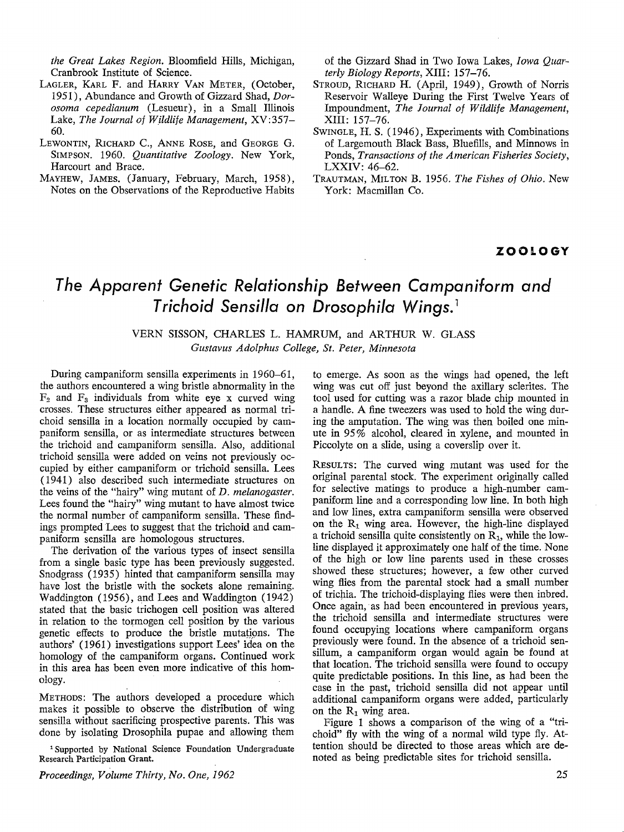*the Great Lakes Region.* Bloomfield Hills, Michigan, Cranbrook Institute of Science.

- LAGLER, KARL F. and HARRY VAN METER, (October, 1951), Abundance and Growth of Gizzard Shad, *Dorosoma cepedianum* (Lesueur), in a Small Illinois Lake, *The Journal of Wildlife Management,* XV:357- 60.
- LEWONTIN, RICHARD C., ANNE RosE, and GEORGE G. SIMPSON. 1960. *Quantitative Zoology.* New York, Harcourt and Brace.
- MAYHEW, JAMES. (January, February, March, 1958), Notes on the Observations of the Reproductive Habits

of the Gizzard Shad in Two Iowa Lakes, *Iowa Quarterly Biology Reports,* XIII: 157-76.

- STROUD, RICHARD H. (April, 1949), Growth of Norris Reservoir Walleye During the First Twelve Years of Impoundment, *The Journal of Wildlife Management,*  XIII: 157-76.
- SWINGLE, H. S. (1946), Experiments with Combinations of Largemouth Black Bass, Bluefills, and Minnows in Ponds, *Transactions of the American Fisheries Society,*  LXXIV: 46-62.
- TRAUTMAN, MILTON B. 1956. *The Fishes of Ohio.* New York: Macmillan Co.

### **ZOOLOGY**

## *The Apparent Genetic Relationship Between Campaniform and T richoid Sensilla on Drosophila Wings.* <sup>1</sup>

VERN SISSON, CHARLES L. HAMRUM, and ARTHUR W. GLASS *Gustavus Adolphus College, St. Peter, Minnesota* 

During campaniform sensilla experiments in 1960-61, the authors encountered a wing bristle abnormality in the  $F<sub>2</sub>$  and  $F<sub>3</sub>$  individuals from white eye x curved wing crosses. These structures either appeared as normal trichoid sensilla in a location normally occupied by campaniform sensilla, or as intermediate structures between the trichoid and campaniform sensilla. Also, additional trichoid sensilla were added on veins not previously occupied by either campaniform or trichoid sensilla. Lees ( 1941) also described such intermediate structures on the veins of the "hairy" wing mutant of *D. melanogaster.*  Lees found the "hairy" wing mutant to have almost twice the normal number of campaniform sensilla. These findings prompted Lees to suggest that the trichoid and campaniform sensilla are homologous structures.

The derivation of the various types of insect sensilla from a single basic type has been previously suggested. Snodgrass (1935) hinted that campaniform sensilla may have lost the bristle with the sockets alone remaining. Waddington (1956), and Lees and Waddington (1942) stated that the basic trichogen cell position was altered in relation to the tormogen cell position by the various genetic effects to produce the bristle mutations. The authors' (1961) investigations support Lees' idea on the homology of the campaniform organs. Continued work in this area has been even more indicative of this homology.

METHODS: The authors developed a procedure which makes it possible to observe the distribution of wing sensilla without sacrificing prospective parents. This was done by isolating Drosophila pupae and allowing them

<sup>1</sup> Supported by National Science Foundation Undergraduate Research Participation Grant.

*Proceedings, Volume Thirty, No. One, 1962* 

to emerge. As soon as the wings had opened, the left wing was cut off just beyond the axillary sclerites. The tool used for cutting was a razor blade chip mounted in a handle. A fine tweezers was used to hold the wing during the amputation. The wing was then boiled one minute in 95% alcohol, cleared in xylene, and mounted in Piccolyte on a slide, using a coverslip over it.

RESULTS: The curved wing mutant was used for the original parental stock. The experiment originally called for selective matings to produce a high-number campaniform line and a corresponding low line. In both high and low lines, extra campaniform sensilla were observed on the  $R_1$  wing area. However, the high-line displayed a trichoid sensilla quite consistently on  $R_1$ , while the lowline displayed it approximately one half of the time. None of the high or low line parents used in these crosses showed these structures; however, a few other curved wing flies from the parental stock had a small number of trichia. The trichoid-displaying flies were then inbred. Once again, as had been encountered in previous years, the trichoid sensilla and intermediate structures were found occupying locations where campaniform organs previously were found. In the absence of a trichoid sensillum, a campaniform organ would again be found at that location. The trichoid sensilla were found to occupy quite predictable positions. In this line, as had been the case in the past, trichoid sensilla did not appear until additional campaniform organs were added, particularly on the  $R_1$  wing area.

Figure 1 shows a comparison of the wing of a "trichoid" fly with the wing of a normal wild type fly. Attention should be directed to those areas which are denoted as being predictable sites for trichoid sensilla.